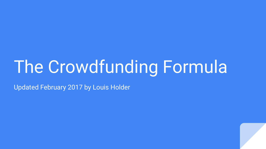## The Crowdfunding Formula

Updated February 2017 by Louis Holder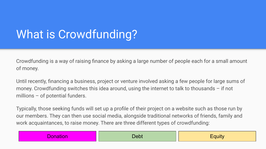## What is Crowdfunding?

Crowdfunding is a way of raising finance by asking a large number of people each for a small amount of money.

Until recently, financing a business, project or venture involved asking a few people for large sums of money. Crowdfunding switches this idea around, using the internet to talk to thousands – if not millions – of potential funders.

Typically, those seeking funds will set up a profile of their project on a website such as those run by our members. They can then use social media, alongside traditional networks of friends, family and work acquaintances, to raise money. There are three different types of crowdfunding:

| $\sim$<br>ĸ<br>н | <u>sky</u><br>.<br>$\sim$ $\sim$ $\sim$ | $- - -$ |
|------------------|-----------------------------------------|---------|
|------------------|-----------------------------------------|---------|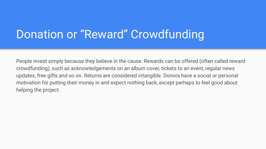## Donation or "Reward" Crowdfunding

People invest simply because they believe in the cause. Rewards can be offered (often called reward crowdfunding), such as acknowledgements on an album cover, tickets to an event, regular news updates, free gifts and so on. Returns are considered intangible. Donors have a social or personal motivation for putting their money in and expect nothing back, except perhaps to feel good about helping the project.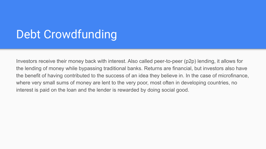## Debt Crowdfunding

Investors receive their money back with interest. Also called peer-to-peer (p2p) lending, it allows for the lending of money while bypassing traditional banks. Returns are financial, but investors also have the benefit of having contributed to the success of an idea they believe in. In the case of microfinance, where very small sums of money are lent to the very poor, most often in developing countries, no interest is paid on the loan and the lender is rewarded by doing social good.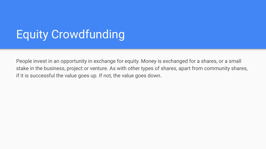## Equity Crowdfunding

People invest in an opportunity in exchange for equity. Money is exchanged for a shares, or a small stake in the business, project or venture. As with other types of shares, apart from community shares, if it is successful the value goes up. If not, the value goes down.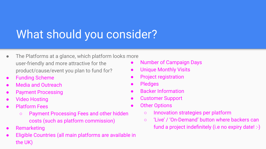## What should you consider?

- The Platforms at a glance, which platform looks more user-friendly and more attractive for the product/cause/event you plan to fund for?
- **Funding Scheme**
- **Media and Outreach**
- **Payment Processing**
- **Video Hosting**
- **Platform Fees** 
	- Payment Processing Fees and other hidden costs (such as platform commission)
- **Remarketing**
- Eligible Countries (all main platforms are available in the UK)
- Number of Campaign Days
- **Unique Monthly Visits**
- Project registration
- Pledges
- **Backer Information**
- **Customer Support**
- **Other Options** 
	- Innovation strategies per platform
	- 'Live' / 'On-Demand' button where backers can fund a project indefinitely (i.e no expiry date! :-)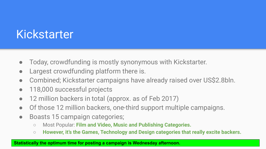## Kickstarter

- Today, crowdfunding is mostly synonymous with Kickstarter.
- Largest crowdfunding platform there is.
- Combined; Kickstarter campaigns have already raised over US\$2.8bln.
- 118,000 successful projects
- 12 million backers in total (approx. as of Feb 2017)
- Of those 12 million backers, one-third support multiple campaigns.
- Boasts 15 campaign categories;
	- Most Popular: **Film and Video, Music and Publishing Categories.**
	- **However, it's the Games, Technology and Design categories that really excite backers.**

#### **Statistically the optimum time for posting a campaign is Wednesday afternoon.**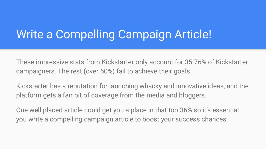## Write a Compelling Campaign Article!

These impressive stats from Kickstarter only account for 35.76% of Kickstarter campaigners. The rest (over 60%) fail to achieve their goals.

Kickstarter has a reputation for launching whacky and innovative ideas, and the platform gets a fair bit of coverage from the media and bloggers.

One well placed article could get you a place in that top 36% so it's essential you write a compelling campaign article to boost your success chances.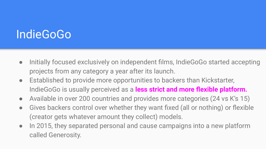## **IndieGoGo**

- Initially focused exclusively on independent films, IndieGoGo started accepting projects from any category a year after its launch.
- Established to provide more opportunities to backers than Kickstarter, IndieGoGo is usually perceived as a **less strict and more flexible platform.**
- **●** Available in over 200 countries and provides more categories (24 vs K's 15)
- Gives backers control over whether they want fixed (all or nothing) or flexible (creator gets whatever amount they collect) models.
- In 2015, they separated personal and cause campaigns into a new platform called Generosity.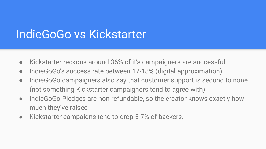## IndieGoGo vs Kickstarter

- Kickstarter reckons around 36% of it's campaigners are successful
- IndieGoGo's success rate between 17-18% (digital approximation)
- IndieGoGo campaigners also say that customer support is second to none (not something Kickstarter campaigners tend to agree with).
- IndieGoGo Pledges are non-refundable, so the creator knows exactly how much they've raised
- Kickstarter campaigns tend to drop 5-7% of backers.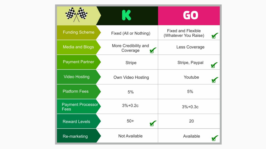|                           |                                  | GO                                                |
|---------------------------|----------------------------------|---------------------------------------------------|
| <b>Funding Scheme</b>     | Fixed (All or Nothing)           | <b>Fixed and Flexible</b><br>(Whatever You Raise) |
| <b>Media and Blogs</b>    | More Credibility and<br>Coverage | Less Coverage                                     |
| <b>Payment Partner</b>    | <b>Stripe</b>                    | Stripe, Paypal                                    |
| <b>Video Hosting</b>      | Own Video Hosting                | Youtube                                           |
| <b>Platform Fees</b>      | 5%                               | 5%                                                |
| Payment Processor<br>Fees | $3% + 0.2c$                      | $3% + 0.3c$                                       |
| <b>Reward Levels</b>      | $50+$                            | 20                                                |
| Re-marketing              | Not Available                    | Available                                         |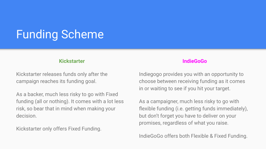## Funding Scheme

#### **Kickstarter**

Kickstarter releases funds only after the campaign reaches its funding goal.

As a backer, much less risky to go with Fixed funding (all or nothing). It comes with a lot less risk, so bear that in mind when making your decision.

Kickstarter only offers Fixed Funding.

#### **IndieGoGo**

Indiegogo provides you with an opportunity to choose between receiving funding as it comes in or waiting to see if you hit your target.

As a campaigner, much less risky to go with flexible funding (i.e. getting funds immediately), but don't forget you have to deliver on your promises, regardless of what you raise.

IndieGoGo offers both Flexible & Fixed Funding.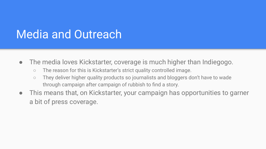## Media and Outreach

- The media loves Kickstarter, coverage is much higher than Indiegogo.
	- The reason for this is Kickstarter's strict quality controlled image.
	- They deliver higher quality products so journalists and bloggers don't have to wade through campaign after campaign of rubbish to find a story.
- This means that, on Kickstarter, your campaign has opportunities to garner a bit of press coverage.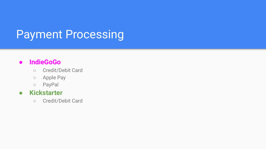## Payment Processing

#### **● IndieGoGo**

- Credit/Debit Card
- Apple Pay
- PayPal

#### **● Kickstarter**

○ Credit/Debit Card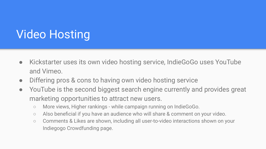## Video Hosting

- Kickstarter uses its own video hosting service, IndieGoGo uses YouTube and Vimeo.
- Differing pros & cons to having own video hosting service
- YouTube is the second biggest search engine currently and provides great marketing opportunities to attract new users.
	- More views, Higher rankings while campaign running on IndieGoGo.
	- Also beneficial if you have an audience who will share & comment on your video.
	- Comments & Likes are shown, including all user-to-video interactions shown on your Indiegogo Crowdfunding page.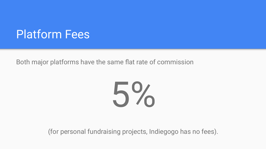## Platform Fees

Both major platforms have the same flat rate of commission

5%

(for personal fundraising projects, Indiegogo has no fees).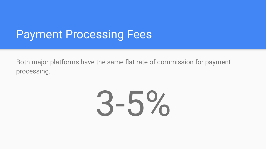## Payment Processing Fees

Both major platforms have the same flat rate of commission for payment processing.

# 3-5%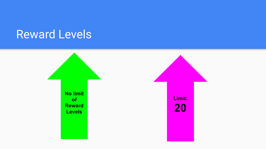## Reward Levels

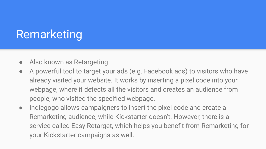## Remarketing

- Also known as Retargeting
- A powerful tool to target your ads (e.g. Facebook ads) to visitors who have already visited your website. It works by inserting a pixel code into your webpage, where it detects all the visitors and creates an audience from people, who visited the specified webpage.
- Indiegogo allows campaigners to insert the pixel code and create a Remarketing audience, while Kickstarter doesn't. However, there is a service called Easy Retarget, which helps you benefit from Remarketing for your Kickstarter campaigns as well.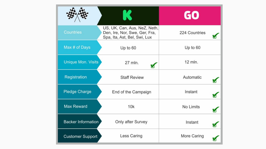|                           |                                                                                               | GO             |
|---------------------------|-----------------------------------------------------------------------------------------------|----------------|
| <b>Countries</b>          | US, UK, Can, Aus, NeZ, Neth,<br>Den, Ire, Nor, Swe, Ger, Fra,<br>Spa, Ita, Ast, Bel, Swi, Lux | 224 Countries  |
| Max # of Days             | Up to 60                                                                                      | Up to 60       |
| <b>Unique Mon. Visits</b> | 27 mln.                                                                                       | 12 mln.        |
| Registration              | <b>Staff Review</b>                                                                           | Automatic      |
| <b>Pledge Charge</b>      | End of the Campaign                                                                           | Instant<br>∀   |
| <b>Max Reward</b>         | 10k                                                                                           | No Limits<br>⊌ |
| <b>Backer Information</b> | Only after Survey                                                                             | Instant        |
| <b>Customer Support</b>   | Less Caring                                                                                   | More Caring    |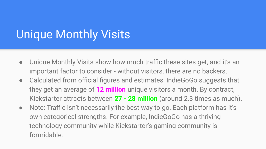## Unique Monthly Visits

- Unique Monthly Visits show how much traffic these sites get, and it's an important factor to consider - without visitors, there are no backers.
- Calculated from official figures and estimates, IndieGoGo suggests that they get an average of **12 million** unique visitors a month. By contract, Kickstarter attracts between **27 - 28 million** (around 2.3 times as much).
- Note: Traffic isn't necessarily the best way to go. Each platform has it's own categorical strengths. For example, IndieGoGo has a thriving technology community while Kickstarter's gaming community is formidable.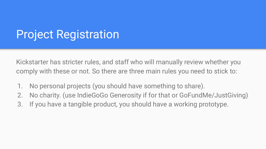## Project Registration

Kickstarter has stricter rules, and staff who will manually review whether you comply with these or not. So there are three main rules you need to stick to:

- 1. No personal projects (you should have something to share).
- 2. No charity. (use IndieGoGo Generosity if for that or GoFundMe/JustGiving)
- 3. If you have a tangible product, you should have a working prototype.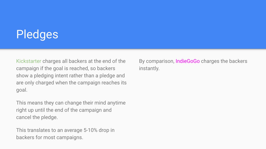## **Pledges**

Kickstarter charges all backers at the end of the campaign if the goal is reached, so backers show a pledging intent rather than a pledge and are only charged when the campaign reaches its goal.

This means they can change their mind anytime right up until the end of the campaign and cancel the pledge.

This translates to an average 5-10% drop in backers for most campaigns.

By comparison, IndieGoGo charges the backers instantly.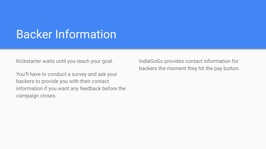## Backer Information

Kickstarter waits until you reach your goal.

You'll have to conduct a survey and ask your backers to provide you with their contact information if you want any feedback before the campaign closes.

IndieGoGo provides contact information for backers the moment they hit the pay button.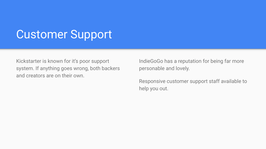### Customer Support

Kickstarter is known for it's poor support system. If anything goes wrong, both backers and creators are on their own.

IndieGoGo has a reputation for being far more personable and lovely.

Responsive customer support staff available to help you out.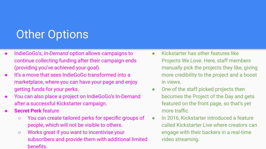## **Other Options**

- IndieGoGo's, *In-Demand* option allows campaigns to continue collecting funding after their campaign ends (providing you've achieved your goal).
- It's a move that sees IndieGoGo transformed into a marketplace, where you can have your page and enjoy getting funds for your perks.
- You can also place a project on IndieGoGo's In-Demand after a successful Kickstarter campaign.
- **Secret Perk** feature
	- You can create tailored perks for specific groups of people, which will not be visible to others.
	- Works great if you want to incentivise your subscribers and provide them with additional limited benefits.
- Kickstarter has other features like Projects We Love. Here, staff members manually pick the projects they like, giving more credibility to the project and a boost in views.
- One of the staff picked projects then becomes the Project of the Day and gets featured on the front page, so that's yet more traffic.
- In 2016, Kickstarter introduced a feature called Kickstarter Live where creators can engage with their backers in a real-time video streaming.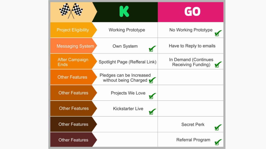|                                      |                                                   | GO                                              |
|--------------------------------------|---------------------------------------------------|-------------------------------------------------|
| <b>Project Eligibility</b>           | <b>Working Prototype</b>                          | No Working Prototype                            |
| <b>Messaging System</b>              | Own System<br>М                                   | Have to Reply to emails                         |
| <b>After Campaign</b><br><b>Ends</b> | Spotlight Page (Refferal Link)                    | In Demand (Continues<br>Receiving Funding)<br>M |
| <b>Other Features</b>                | Pledges can be Increased<br>without being Charged |                                                 |
| <b>Other Features</b>                | Projects We Love                                  |                                                 |
| <b>Other Features</b>                | <b>Kickstarter Live</b>                           |                                                 |
| <b>Other Features</b>                |                                                   | <b>Secret Perk</b>                              |
| <b>Other Features</b>                |                                                   | Referral Program                                |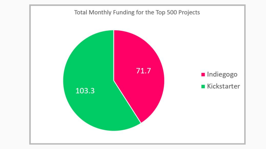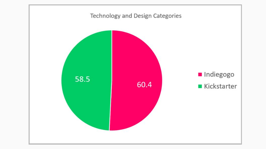